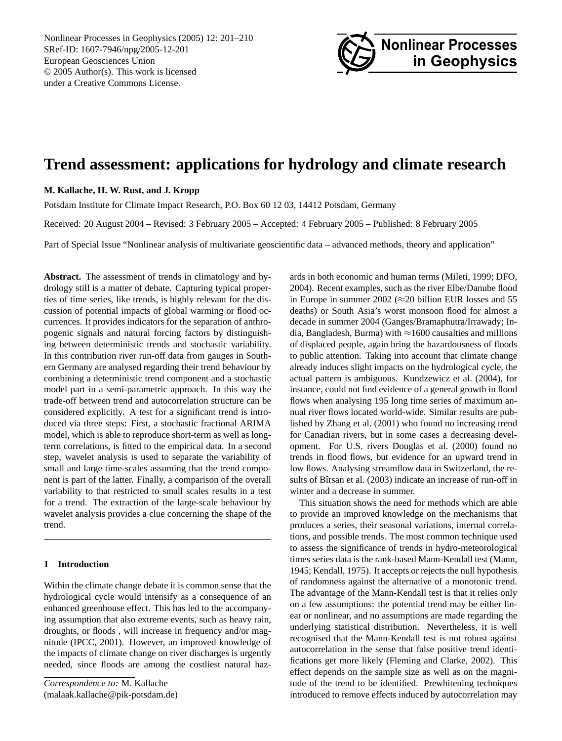Nonlinear Processes in Geophysics (2005) 12: 201[–210](#page-0-0) SRef-ID: 1607-7946/npg/2005-12-201 European Geosciences Union © 2005 Author(s). This work is licensed under a Creative Commons License.



# **Trend assessment: applications for hydrology and climate research**

## **M. Kallache, H. W. Rust, and J. Kropp**

Potsdam Institute for Climate Impact Research, P.O. Box 60 12 03, 14412 Potsdam, Germany

Received: 20 August 2004 – Revised: 3 February 2005 – Accepted: 4 February 2005 – Published: 8 February 2005

Part of Special Issue "Nonlinear analysis of multivariate geoscientific data – advanced methods, theory and application"

**Abstract.** The assessment of trends in climatology and hydrology still is a matter of debate. Capturing typical properties of time series, like trends, is highly relevant for the discussion of potential impacts of global warming or flood occurrences. It provides indicators for the separation of anthropogenic signals and natural forcing factors by distinguishing between deterministic trends and stochastic variability. In this contribution river run-off data from gauges in Southern Germany are analysed regarding their trend behaviour by combining a deterministic trend component and a stochastic model part in a semi-parametric approach. In this way the trade-off between trend and autocorrelation structure can be considered explicitly. A test for a significant trend is introduced via three steps: First, a stochastic fractional ARIMA model, which is able to reproduce short-term as well as longterm correlations, is fitted to the empirical data. In a second step, wavelet analysis is used to separate the variability of small and large time-scales assuming that the trend component is part of the latter. Finally, a comparison of the overall variability to that restricted to small scales results in a test for a trend. The extraction of the large-scale behaviour by wavelet analysis provides a clue concerning the shape of the trend.

## <span id="page-0-1"></span>**1 Introduction**

Within the climate change debate it is common sense that the hydrological cycle would intensify as a consequence of an enhanced greenhouse effect. This has led to the accompanying assumption that also extreme events, such as heavy rain, droughts, or floods , will increase in frequency and/or magnitude [\(IPCC,](#page-9-0) [2001\)](#page-9-0). However, an improved knowledge of the impacts of climate change on river discharges is urgently needed, since floods are among the costliest natural haz-

<span id="page-0-0"></span>*Correspondence to:* M. Kallache (malaak.kallache@pik-potsdam.de) ards in both economic and human terms [\(Mileti,](#page-9-1) [1999;](#page-9-1) [DFO,](#page-8-0) [2004\)](#page-8-0). Recent examples, such as the river Elbe/Danube flood in Europe in summer 2002 ( $\approx$  20 billion EUR losses and 55 deaths) or South Asia's worst monsoon flood for almost a decade in summer 2004 (Ganges/Bramaphutra/Irrawady; India, Bangladesh, Burma) with  $\approx$ 1600 causalties and millions of displaced people, again bring the hazardousness of floods to public attention. Taking into account that climate change already induces slight impacts on the hydrological cycle, the actual pattern is ambiguous. [Kundzewicz et al.](#page-9-2) [\(2004\)](#page-9-2), for instance, could not find evidence of a general growth in flood flows when analysing 195 long time series of maximum annual river flows located world-wide. Similar results are published by [Zhang et al.](#page-9-3) [\(2001\)](#page-9-3) who found no increasing trend for Canadian rivers, but in some cases a decreasing development. For U.S. rivers [Douglas et al.](#page-9-4) [\(2000\)](#page-9-4) found no trends in flood flows, but evidence for an upward trend in low flows. Analysing streamflow data in Switzerland, the re-sults of Bîrsan et al. [\(2003\)](#page-8-1) indicate an increase of run-off in winter and a decrease in summer.

This situation shows the need for methods which are able to provide an improved knowledge on the mechanisms that produces a series, their seasonal variations, internal correlations, and possible trends. The most common technique used to assess the significance of trends in hydro-meteorological times series data is the rank-based Mann-Kendall test [\(Mann,](#page-9-5) [1945;](#page-9-5) [Kendall,](#page-9-6) [1975\)](#page-9-6). It accepts or rejects the null hypothesis of randomness against the alternative of a monotonic trend. The advantage of the Mann-Kendall test is that it relies only on a few assumptions: the potential trend may be either linear or nonlinear, and no assumptions are made regarding the underlying statistical distribution. Nevertheless, it is well recognised that the Mann-Kendall test is not robust against autocorrelation in the sense that false positive trend identifications get more likely [\(Fleming and Clarke,](#page-9-7) [2002\)](#page-9-7). This effect depends on the sample size as well as on the magnitude of the trend to be identified. Prewhitening techniques introduced to remove effects induced by autocorrelation may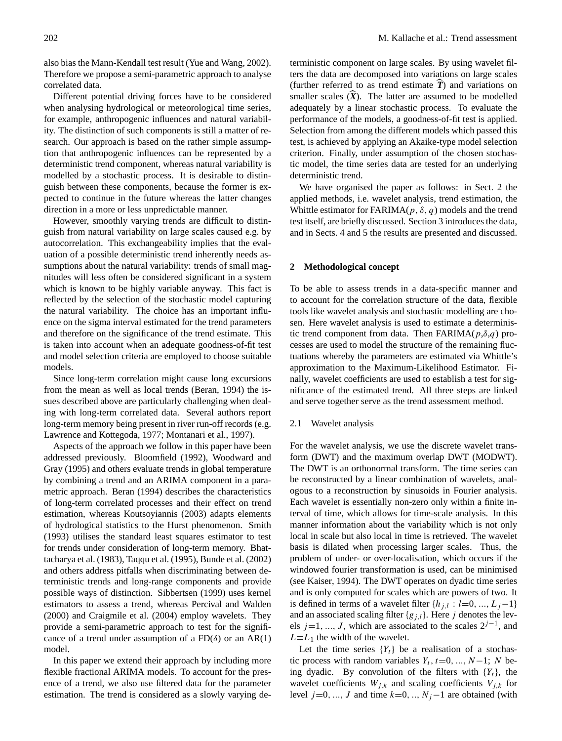also bias the Mann-Kendall test result [\(Yue and Wang,](#page-9-8) [2002\)](#page-9-8). Therefore we propose a semi-parametric approach to analyse correlated data.

Different potential driving forces have to be considered when analysing hydrological or meteorological time series, for example, anthropogenic influences and natural variability. The distinction of such components is still a matter of research. Our approach is based on the rather simple assumption that anthropogenic influences can be represented by a deterministic trend component, whereas natural variability is modelled by a stochastic process. It is desirable to distinguish between these components, because the former is expected to continue in the future whereas the latter changes direction in a more or less unpredictable manner.

However, smoothly varying trends are difficult to distinguish from natural variability on large scales caused e.g. by autocorrelation. This exchangeability implies that the evaluation of a possible deterministic trend inherently needs assumptions about the natural variability: trends of small magnitudes will less often be considered significant in a system which is known to be highly variable anyway. This fact is reflected by the selection of the stochastic model capturing the natural variability. The choice has an important influence on the sigma interval estimated for the trend parameters and therefore on the significance of the trend estimate. This is taken into account when an adequate goodness-of-fit test and model selection criteria are employed to choose suitable models.

Since long-term correlation might cause long excursions from the mean as well as local trends [\(Beran,](#page-8-2) [1994\)](#page-8-2) the issues described above are particularly challenging when dealing with long-term correlated data. Several authors report long-term memory being present in river run-off records (e.g. [Lawrence and Kottegoda,](#page-9-9) [1977;](#page-9-9) [Montanari et al.,](#page-9-10) [1997\)](#page-9-10).

Aspects of the approach we follow in this paper have been addressed previously. [Bloomfield](#page-8-3) [\(1992\)](#page-8-3), [Woodward and](#page-9-11) [Gray](#page-9-11) [\(1995\)](#page-9-11) and others evaluate trends in global temperature by combining a trend and an ARIMA component in a parametric approach. [Beran](#page-8-2) [\(1994\)](#page-8-2) describes the characteristics of long-term correlated processes and their effect on trend estimation, whereas [Koutsoyiannis](#page-9-12) [\(2003\)](#page-9-12) adapts elements of hydrological statistics to the Hurst phenomenon. [Smith](#page-9-13) [\(1993\)](#page-9-13) utilises the standard least squares estimator to test for trends under consideration of long-term memory. [Bhat](#page-8-4)[tacharya et al.](#page-8-4) [\(1983\)](#page-8-4), [Taqqu et al.](#page-9-14) [\(1995\)](#page-9-14), [Bunde et al.](#page-8-5) [\(2002\)](#page-8-5) and others address pitfalls when discriminating between deterministic trends and long-range components and provide possible ways of distinction. [Sibbertsen](#page-9-15) [\(1999\)](#page-9-15) uses kernel estimators to assess a trend, whereas [Percival and Walden](#page-9-16) [\(2000\)](#page-9-16) and [Craigmile et al.](#page-8-6) [\(2004\)](#page-8-6) employ wavelets. They provide a semi-parametric approach to test for the significance of a trend under assumption of a  $FD(\delta)$  or an AR(1) model.

In this paper we extend their approach by including more flexible fractional ARIMA models. To account for the presence of a trend, we also use filtered data for the parameter estimation. The trend is considered as a slowly varying deterministic component on large scales. By using wavelet filters the data are decomposed into variations on large scales (further referred to as trend estimate  $\overline{T}$ ) and variations on smaller scales  $(\widehat{X})$ . The latter are assumed to be modelled adequately by a linear stochastic process. To evaluate the performance of the models, a goodness-of-fit test is applied. Selection from among the different models which passed this test, is achieved by applying an Akaike-type model selection criterion. Finally, under assumption of the chosen stochastic model, the time series data are tested for an underlying deterministic trend.

We have organised the paper as follows: in Sect. [2](#page-1-0) the applied methods, i.e. wavelet analysis, trend estimation, the Whittle estimator for FARIMA( $p$ ,  $\delta$ ,  $q$ ) models and the trend test itself, are briefly discussed. Section [3](#page-5-0) introduces the data, and in Sects. [4](#page-6-0) and [5](#page-7-0) the results are presented and discussed.

## <span id="page-1-0"></span>**2 Methodological concept**

To be able to assess trends in a data-specific manner and to account for the correlation structure of the data, flexible tools like wavelet analysis and stochastic modelling are chosen. Here wavelet analysis is used to estimate a deterministic trend component from data. Then  $FARIMA(p,\delta,q)$  processes are used to model the structure of the remaining fluctuations whereby the parameters are estimated via Whittle's approximation to the Maximum-Likelihood Estimator. Finally, wavelet coefficients are used to establish a test for significance of the estimated trend. All three steps are linked and serve together serve as the trend assessment method.

#### <span id="page-1-1"></span>2.1 Wavelet analysis

For the wavelet analysis, we use the discrete wavelet transform (DWT) and the maximum overlap DWT (MODWT). The DWT is an orthonormal transform. The time series can be reconstructed by a linear combination of wavelets, analogous to a reconstruction by sinusoids in Fourier analysis. Each wavelet is essentially non-zero only within a finite interval of time, which allows for time-scale analysis. In this manner information about the variability which is not only local in scale but also local in time is retrieved. The wavelet basis is dilated when processing larger scales. Thus, the problem of under- or over-localisation, which occurs if the windowed fourier transformation is used, can be minimised (see [Kaiser,](#page-9-17) [1994\)](#page-9-17). The DWT operates on dyadic time series and is only computed for scales which are powers of two. It is defined in terms of a wavelet filter  $\{h_{j,l} : l=0, ..., L_j-1\}$ and an associated scaling filter  ${g_{i,l}}$ . Here j denotes the levels j=1, ..., J, which are associated to the scales  $2^{j-1}$ , and  $L \equiv L_1$  the width of the wavelet.

Let the time series  ${Y_t}$  be a realisation of a stochastic process with random variables  $Y_t$ ,  $t=0, ..., N-1$ ; N being dyadic. By convolution of the filters with  ${Y_t}$ , the wavelet coefficients  $W_{j,k}$  and scaling coefficients  $V_{j,k}$  for level  $j=0, ..., J$  and time  $k=0, ..., N<sub>j</sub>-1$  are obtained (with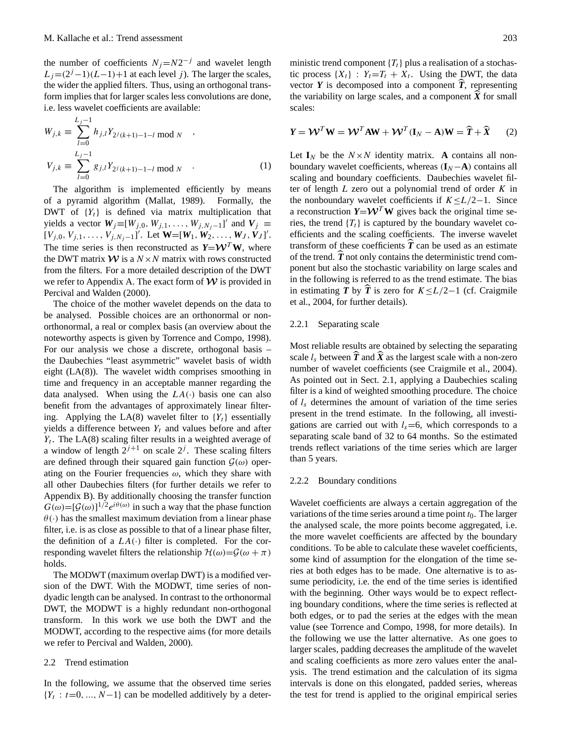the number of coefficients  $N_j = N2^{-j}$  and wavelet length  $L_j = (2^j - 1)(L - 1) + 1$  at each level j). The larger the scales, the wider the applied filters. Thus, using an orthogonal transform implies that for larger scales less convolutions are done, i.e. less wavelet coefficients are available:

$$
W_{j,k} \equiv \sum_{l=0}^{L_j - 1} h_{j,l} Y_{2^j(k+1)-1-l} \mod N ,
$$
  

$$
V_{j,k} \equiv \sum_{l=0}^{L_j - 1} g_{j,l} Y_{2^j(k+1)-1-l} \mod N .
$$
 (1)

The algorithm is implemented efficiently by means of a pyramid algorithm [\(Mallat,](#page-9-18) [1989\)](#page-9-18). Formally, the DWT of  ${Y_t}$  is defined via matrix multiplication that yields a vector  $W_j \equiv [W_{j,0}, W_{j,1}, \ldots, W_{j,N_j-1}]'$  and  $V_j \equiv$  $[V_{j,0}, V_{j,1}, \ldots, V_{j,N_j-1}]$ '. Let  $\mathbf{W} = [\mathbf{W}_1, \mathbf{W}_2, \ldots, \mathbf{W}_J, \mathbf{V}_J]'$ . The time series is then reconstructed as  $Y = W<sup>T</sup> W$ , where the DWT matrix  $W$  is a  $N \times N$  matrix with rows constructed from the filters. For a more detailed description of the DWT we refer to Appendix A. The exact form of  $\mathcal W$  is provided in [Percival and Walden](#page-9-16) [\(2000\)](#page-9-16).

The choice of the mother wavelet depends on the data to be analysed. Possible choices are an orthonormal or nonorthonormal, a real or complex basis (an overview about the noteworthy aspects is given by [Torrence and Compo,](#page-9-19) [1998\)](#page-9-19). For our analysis we chose a discrete, orthogonal basis – the Daubechies "least asymmetric" wavelet basis of width eight (LA(8)). The wavelet width comprises smoothing in time and frequency in an acceptable manner regarding the data analysed. When using the  $LA(·)$  basis one can also benefit from the advantages of approximately linear filtering. Applying the LA(8) wavelet filter to  ${Y_t}$  essentially yields a difference between  $Y_t$  and values before and after  $Y_t$ . The LA(8) scaling filter results in a weighted average of a window of length  $2^{j+1}$  on scale  $2^j$ . These scaling filters are defined through their squared gain function  $\mathcal{G}(\omega)$  operating on the Fourier frequencies  $\omega$ , which they share with all other Daubechies filters (for further details we refer to Appendix B). By additionally choosing the transfer function  $G(\omega) = [\mathcal{G}(\omega)]^{1/2} e^{i\theta(\omega)}$  in such a way that the phase function  $\theta(\cdot)$  has the smallest maximum deviation from a linear phase filter, i.e. is as close as possible to that of a linear phase filter, the definition of a  $LA(\cdot)$  filter is completed. For the corresponding wavelet filters the relationship  $\mathcal{H}(\omega) = \mathcal{G}(\omega + \pi)$ holds.

The MODWT (maximum overlap DWT) is a modified version of the DWT. With the MODWT, time series of nondyadic length can be analysed. In contrast to the orthonormal DWT, the MODWT is a highly redundant non-orthogonal transform. In this work we use both the DWT and the MODWT, according to the respective aims (for more details we refer to [Percival and Walden,](#page-9-16) [2000\)](#page-9-16).

### <span id="page-2-1"></span>2.2 Trend estimation

In the following, we assume that the observed time series  ${Y_t : t=0, ..., N-1}$  can be modelled additively by a deterministic trend component  $\{T_t\}$  plus a realisation of a stochastic process  $\{X_t\}$ :  $Y_t = T_t + X_t$ . Using the DWT, the data vector  $Y$  is decomposed into a component  $\overline{T}$ , representing the variability on large scales, and a component  $\widehat{X}$  for small scales:

<span id="page-2-0"></span>
$$
Y = \mathcal{W}^T W = \mathcal{W}^T A W + \mathcal{W}^T (I_N - A) W = \widehat{T} + \widehat{X}
$$
 (2)

Let  $I_N$  be the  $N \times N$  identity matrix. A contains all nonboundary wavelet coefficients, whereas  $(I_N - A)$  contains all scaling and boundary coefficients. Daubechies wavelet filter of length  $L$  zero out a polynomial trend of order  $K$  in the nonboundary wavelet coefficients if  $K \leq L/2-1$ . Since a reconstruction  $Y = W<sup>T</sup> W$  gives back the original time series, the trend  $\{T_t\}$  is captured by the boundary wavelet coefficients and the scaling coefficients. The inverse wavelet transform of these coefficients  $\hat{T}$  can be used as an estimate of the trend.  $\vec{T}$  not only contains the deterministic trend component but also the stochastic variability on large scales and in the following is referred to as the trend estimate. The bias in estimating *T* by  $\hat{T}$  is zero for  $K \leq L/2-1$  (cf. [Craigmile](#page-8-6) [et al.,](#page-8-6) [2004,](#page-8-6) for further details).

## <span id="page-2-2"></span>2.2.1 Separating scale

Most reliable results are obtained by selecting the separating scale  $l_s$  between  $\overline{T}$  and  $\overline{X}$  as the largest scale with a non-zero number of wavelet coefficients (see [Craigmile et al.,](#page-8-6) [2004\)](#page-8-6). As pointed out in Sect. [2.1,](#page-1-1) applying a Daubechies scaling filter is a kind of weighted smoothing procedure. The choice of  $l_s$  determines the amount of variation of the time series present in the trend estimate. In the following, all investigations are carried out with  $l_s=6$ , which corresponds to a separating scale band of 32 to 64 months. So the estimated trends reflect variations of the time series which are larger than 5 years.

#### 2.2.2 Boundary conditions

Wavelet coefficients are always a certain aggregation of the variations of the time series around a time point  $t_0$ . The larger the analysed scale, the more points become aggregated, i.e. the more wavelet coefficients are affected by the boundary conditions. To be able to calculate these wavelet coefficients, some kind of assumption for the elongation of the time series at both edges has to be made. One alternative is to assume periodicity, i.e. the end of the time series is identified with the beginning. Other ways would be to expect reflecting boundary conditions, where the time series is reflected at both edges, or to pad the series at the edges with the mean value (see [Torrence and Compo,](#page-9-19) [1998,](#page-9-19) for more details). In the following we use the latter alternative. As one goes to larger scales, padding decreases the amplitude of the wavelet and scaling coefficients as more zero values enter the analysis. The trend estimation and the calculation of its sigma intervals is done on this elongated, padded series, whereas the test for trend is applied to the original empirical series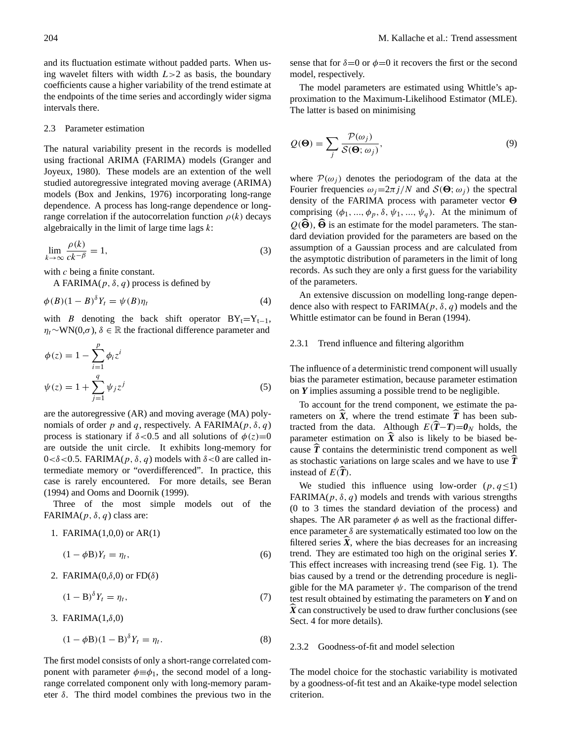and its fluctuation estimate without padded parts. When using wavelet filters with width  $L>2$  as basis, the boundary coefficients cause a higher variability of the trend estimate at the endpoints of the time series and accordingly wider sigma intervals there.

#### <span id="page-3-0"></span>2.3 Parameter estimation

The natural variability present in the records is modelled using fractional ARIMA (FARIMA) models [\(Granger and](#page-9-20) [Joyeux,](#page-9-20) [1980\)](#page-9-20). These models are an extention of the well studied autoregressive integrated moving average (ARIMA) models [\(Box and Jenkins,](#page-8-7) [1976\)](#page-8-7) incorporating long-range dependence. A process has long-range dependence or longrange correlation if the autocorrelation function  $\rho(k)$  decays algebraically in the limit of large time lags  $k$ :

$$
\lim_{k \to \infty} \frac{\rho(k)}{ck^{-\beta}} = 1,\tag{3}
$$

with c being a finite constant.

A FARIMA( $p$ ,  $\delta$ ,  $q$ ) process is defined by

$$
\phi(B)(1-B)^{\delta}Y_t = \psi(B)\eta_t \tag{4}
$$

with B denoting the back shift operator  $BY_t=Y_{t-1}$ ,  $\eta_t \sim \text{WN}(0, \sigma)$ ,  $\delta \in \mathbb{R}$  the fractional difference parameter and

$$
\phi(z) = 1 - \sum_{i=1}^{p} \phi_i z^i
$$
  

$$
\psi(z) = 1 + \sum_{j=1}^{q} \psi_j z^j
$$
 (5)

are the autoregressive (AR) and moving average (MA) polynomials of order p and q, respectively. A FARIMA( $p$ ,  $\delta$ ,  $q$ ) process is stationary if  $\delta$ <0.5 and all solutions of  $\phi(z)=0$ are outside the unit circle. It exhibits long-memory for  $0 < \delta < 0.5$ . FARIMA( $p, \delta, q$ ) models with  $\delta < 0$  are called intermediate memory or "overdifferenced". In practice, this case is rarely encountered. For more details, see [Beran](#page-8-2) [\(1994\)](#page-8-2) and [Ooms and Doornik](#page-9-21) [\(1999\)](#page-9-21).

Three of the most simple models out of the FARIMA $(p, \delta, q)$  class are:

1. FARIMA(1,0,0) or AR(1)

$$
(1 - \phi \mathbf{B})Y_t = \eta_t,\tag{6}
$$

2. FARIMA $(0,\delta,0)$  or FD $(\delta)$ 

$$
(1 - B)^{\delta} Y_t = \eta_t,\tag{7}
$$

3. FARIMA $(1,\delta,0)$ 

$$
(1 - \phi B)(1 - B)^{\delta} Y_t = \eta_t. \tag{8}
$$

The first model consists of only a short-range correlated component with parameter  $\phi \equiv \phi_1$ , the second model of a longrange correlated component only with long-memory parameter  $\delta$ . The third model combines the previous two in the sense that for  $\delta = 0$  or  $\phi = 0$  it recovers the first or the second model, respectively.

The model parameters are estimated using Whittle's approximation to the Maximum-Likelihood Estimator (MLE). The latter is based on minimising

$$
Q(\mathbf{\Theta}) = \sum_{j} \frac{\mathcal{P}(\omega_j)}{\mathcal{S}(\mathbf{\Theta}; \omega_j)},
$$
\n(9)

where  $\mathcal{P}(\omega_i)$  denotes the periodogram of the data at the Fourier frequencies  $\omega_i=2\pi i/N$  and  $\mathcal{S}(\Theta;\omega_i)$  the spectral density of the FARIMA process with parameter vector  $\Theta$ comprising  $(\phi_1, ..., \phi_p, \delta, \psi_1, ..., \psi_q)$ . At the minimum of  $Q(\widehat{\Theta})$ ,  $\widehat{\Theta}$  is an estimate for the model parameters. The standard deviation provided for the parameters are based on the assumption of a Gaussian process and are calculated from the asymptotic distribution of parameters in the limit of long records. As such they are only a first guess for the variability of the parameters.

An extensive discussion on modelling long-range dependence also with respect to FARIMA( $p$ ,  $\delta$ ,  $q$ ) models and the Whittle estimator can be found in [Beran](#page-8-2) [\(1994\)](#page-8-2).

## <span id="page-3-1"></span>2.3.1 Trend influence and filtering algorithm

The influence of a deterministic trend component will usually bias the parameter estimation, because parameter estimation on *Y* implies assuming a possible trend to be negligible.

To account for the trend component, we estimate the parameters on  $\hat{X}$ , where the trend estimate  $\hat{T}$  has been subtracted from the data. Although  $E(\hat{T}-T)=0$ <sub>N</sub> holds, the parameter estimation on  $\widehat{X}$  also is likely to be biased because  $\widehat{T}$  contains the deterministic trend component as well as stochastic variations on large scales and we have to use  $\hat{T}$ instead of  $E(T)$ .

We studied this influence using low-order  $(p, q<1)$ FARIMA( $p$ ,  $\delta$ ,  $q$ ) models and trends with various strengths (0 to 3 times the standard deviation of the process) and shapes. The AR parameter  $\phi$  as well as the fractional difference parameter  $\delta$  are systematically estimated too low on the filtered series  $\widehat{X}$ , where the bias decreases for an increasing trend. They are estimated too high on the original series *Y*. This effect increases with increasing trend (see Fig. [1\)](#page-4-0). The bias caused by a trend or the detrending procedure is negligible for the MA parameter  $\psi$ . The comparison of the trend test result obtained by estimating the parameters on *Y* and on  $\hat{X}$  can constructively be used to draw further conclusions (see Sect. [4](#page-6-0) for more details).

#### <span id="page-3-2"></span>2.3.2 Goodness-of-fit and model selection

The model choice for the stochastic variability is motivated by a goodness-of-fit test and an Akaike-type model selection criterion.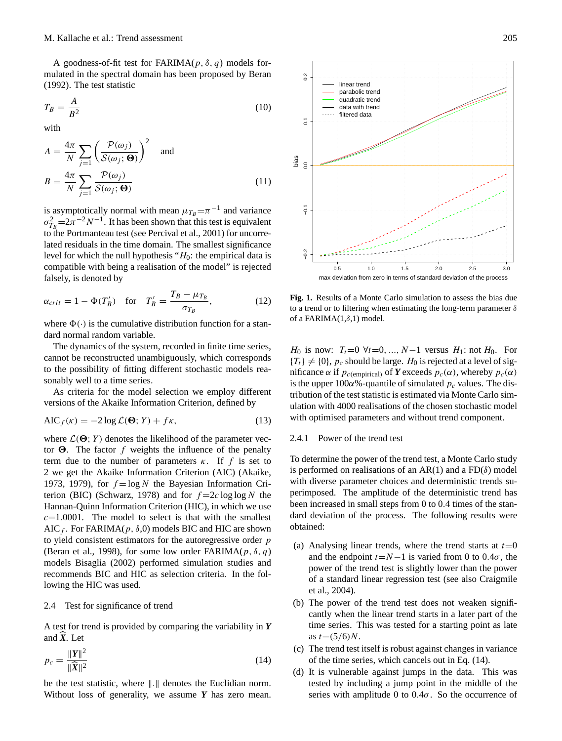A goodness-of-fit test for  $FARIMA(p, \delta, q)$  models formulated in the spectral domain has been proposed by [Beran](#page-8-8) [\(1992\)](#page-8-8). The test statistic

$$
T_B = \frac{A}{B^2} \tag{10}
$$

with

$$
A = \frac{4\pi}{N} \sum_{j=1}^{\infty} \left( \frac{\mathcal{P}(\omega_j)}{\mathcal{S}(\omega_j; \Theta)} \right)^2 \text{ and}
$$

$$
B = \frac{4\pi}{N} \sum_{j=1}^{\infty} \frac{\mathcal{P}(\omega_j)}{\mathcal{S}(\omega_j; \Theta)} \tag{11}
$$

is asymptotically normal with mean  $\mu_{T_B} = \pi^{-1}$  and variance  $\sigma_{T_B}^2 = 2\pi^{-2} N^{-1}$ . It has been shown that this test is equivalent to the Portmanteau test (see [Percival et al.,](#page-9-22) [2001\)](#page-9-22) for uncorrelated residuals in the time domain. The smallest significance level for which the null hypothesis " $H_0$ : the empirical data is compatible with being a realisation of the model" is rejected falsely, is denoted by

$$
\alpha_{crit} = 1 - \Phi(T'_B) \quad \text{for} \quad T'_B = \frac{T_B - \mu_{T_B}}{\sigma_{T_B}},\tag{12}
$$

where  $\Phi(\cdot)$  is the cumulative distribution function for a standard normal random variable.

The dynamics of the system, recorded in finite time series, cannot be reconstructed unambiguously, which corresponds to the possibility of fitting different stochastic models reasonably well to a time series.

As criteria for the model selection we employ different versions of the Akaike Information Criterion, defined by

$$
AIC_f(\kappa) = -2\log \mathcal{L}(\mathbf{\Theta}; Y) + f\kappa,\tag{13}
$$

where  $\mathcal{L}(\Theta; Y)$  denotes the likelihood of the parameter vector  $\Theta$ . The factor f weights the influence of the penalty term due to the number of parameters  $\kappa$ . If f is set to 2 we get the Akaike Information Criterion (AIC) [\(Akaike,](#page-8-9) [1973,](#page-8-9) [1979\)](#page-8-10), for  $f = \log N$  the Bayesian Information Cri-terion (BIC) [\(Schwarz,](#page-9-23) [1978\)](#page-9-23) and for  $f = 2c \log \log N$  the Hannan-Quinn Information Criterion (HIC), in which we use  $c=1.0001$ . The model to select is that with the smallest AIC  $_f$ . For FARIMA( $p$ ,  $\delta$ ,0) models BIC and HIC are shown to yield consistent estimators for the autoregressive order  $p$ [\(Beran et al.,](#page-8-11) [1998\)](#page-8-11), for some low order FARIMA( $p$ ,  $\delta$ ,  $q$ ) models [Bisaglia](#page-8-12) [\(2002\)](#page-8-12) performed simulation studies and recommends BIC and HIC as selection criteria. In the following the HIC was used.

## <span id="page-4-2"></span>2.4 Test for significance of trend

A test for trend is provided by comparing the variability in *Y* and  $\hat{\mathbf{X}}$ . Let

<span id="page-4-1"></span>
$$
p_c = \frac{\|\mathbf{Y}\|^2}{\|\widehat{\mathbf{X}}\|^2} \tag{14}
$$

be the test statistic, where  $\|.\|$  denotes the Euclidian norm.



<span id="page-4-0"></span>**Fig. 1.** Results of a Monte Carlo simulation to assess the bias due to a trend or to filtering when estimating the long-term parameter  $\delta$ of a FARIMA $(1,\delta,1)$  model.

*H*<sub>0</sub> is now:  $T_t=0 \forall t=0, ..., N-1$  versus *H*<sub>1</sub>: not *H*<sub>0</sub>. For  ${T<sub>t</sub>} \neq {0}$ ,  $p<sub>c</sub>$  should be large.  $H<sub>0</sub>$  is rejected at a level of significance α if  $p_{c(\text{empirical})}$  of *Y* exceeds  $p_c(\alpha)$ , whereby  $p_c(\alpha)$ is the upper  $100\alpha$ %-quantile of simulated  $p_c$  values. The distribution of the test statistic is estimated via Monte Carlo simulation with 4000 realisations of the chosen stochastic model with optimised parameters and without trend component.

## 2.4.1 Power of the trend test

To determine the power of the trend test, a Monte Carlo study is performed on realisations of an AR(1) and a FD( $\delta$ ) model with diverse parameter choices and deterministic trends superimposed. The amplitude of the deterministic trend has been increased in small steps from 0 to 0.4 times of the standard deviation of the process. The following results were obtained:

- (a) Analysing linear trends, where the trend starts at  $t=0$ and the endpoint  $t=N-1$  is varied from 0 to 0.4 $\sigma$ , the power of the trend test is slightly lower than the power of a standard linear regression test (see also [Craigmile](#page-8-6) [et al.,](#page-8-6) [2004\)](#page-8-6).
- (b) The power of the trend test does not weaken significantly when the linear trend starts in a later part of the time series. This was tested for a starting point as late as  $t = (5/6)N$ .
- (c) The trend test itself is robust against changes in variance of the time series, which cancels out in Eq. [\(14\)](#page-4-1).
- (d) It is vulnerable against jumps in the data. This was tested by including a jump point in the middle of the series with amplitude 0 to  $0.4\sigma$ . So the occurrence of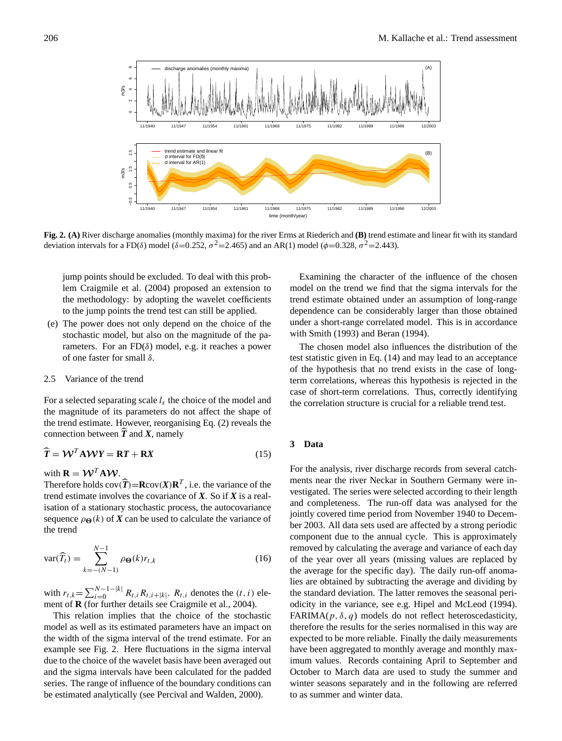

<span id="page-5-1"></span>**Fig. 2. (A)** River discharge anomalies (monthly maxima) for the river Erms at Riederich and **(B)** trend estimate and linear fit with its standard deviation intervals for a FD( $\delta$ ) model ( $\delta$ =0.252,  $\sigma$ <sup>2</sup>=2.465) and an AR(1) model ( $\phi$ =0.328,  $\sigma$ <sup>2</sup>=2.443).

jump points should be excluded. To deal with this problem [Craigmile et al.](#page-8-6) [\(2004\)](#page-8-6) proposed an extension to the methodology: by adopting the wavelet coefficients to the jump points the trend test can still be applied.

(e) The power does not only depend on the choice of the stochastic model, but also on the magnitude of the parameters. For an  $FD(\delta)$  model, e.g. it reaches a power of one faster for small  $\delta$ .

#### <span id="page-5-2"></span>2.5 Variance of the trend

For a selected separating scale  $l_s$  the choice of the model and the magnitude of its parameters do not affect the shape of the trend estimate. However, reorganising Eq. [\(2\)](#page-2-0) reveals the connection between  $T$  and  $X$ , namely

$$
\widehat{T} = \mathcal{W}^T \mathbf{A} \mathcal{W} Y = \mathbf{R} T + \mathbf{R} X \tag{15}
$$

## with  $\mathbf{R} = \mathbf{W}^T \mathbf{A} \mathbf{W}$ .

Therefore holds  $cov(\hat{T}) = \text{R}cov(X)\textbf{R}^T$ , i.e. the variance of the trend estimate involves the covariance of *X*. So if *X* is a realisation of a stationary stochastic process, the autocovariance sequence  $\rho_{\Theta}(k)$  of *X* can be used to calculate the variance of the trend

$$
\text{var}(\widehat{T}_t) = \sum_{k=-\left(N-1\right)}^{N-1} \rho_{\Theta}(k) r_{t,k} \tag{16}
$$

with  $r_{t,k} = \sum_{i=0}^{N-1-|k|} R_{t,i} R_{t,i+|k|}$ .  $R_{t,i}$  denotes the  $(t, i)$  element of **R** (for further details see [Craigmile et al.,](#page-8-6) [2004\)](#page-8-6).

This relation implies that the choice of the stochastic model as well as its estimated parameters have an impact on the width of the sigma interval of the trend estimate. For an example see Fig. [2.](#page-5-1) Here fluctuations in the sigma interval due to the choice of the wavelet basis have been averaged out and the sigma intervals have been calculated for the padded series. The range of influence of the boundary conditions can be estimated analytically (see [Percival and Walden,](#page-9-16) [2000\)](#page-9-16).

Examining the character of the influence of the chosen model on the trend we find that the sigma intervals for the trend estimate obtained under an assumption of long-range dependence can be considerably larger than those obtained under a short-range correlated model. This is in accordance with [Smith](#page-9-13) [\(1993\)](#page-9-13) and [Beran](#page-8-2) [\(1994\)](#page-8-2).

The chosen model also influences the distribution of the test statistic given in Eq. [\(14\)](#page-4-1) and may lead to an acceptance of the hypothesis that no trend exists in the case of longterm correlations, whereas this hypothesis is rejected in the case of short-term correlations. Thus, correctly identifying the correlation structure is crucial for a reliable trend test.

#### <span id="page-5-0"></span>**3 Data**

For the analysis, river discharge records from several catchments near the river Neckar in Southern Germany were investigated. The series were selected according to their length and completeness. The run-off data was analysed for the jointly covered time period from November 1940 to December 2003. All data sets used are affected by a strong periodic component due to the annual cycle. This is approximately removed by calculating the average and variance of each day of the year over all years (missing values are replaced by the average for the specific day). The daily run-off anomalies are obtained by subtracting the average and dividing by the standard deviation. The latter removes the seasonal periodicity in the variance, see e.g. [Hipel and McLeod](#page-9-24) [\(1994\)](#page-9-24). FARIMA( $p$ ,  $\delta$ ,  $q$ ) models do not reflect heteroscedasticity, therefore the results for the series normalised in this way are expected to be more reliable. Finally the daily measurements have been aggregated to monthly average and monthly maximum values. Records containing April to September and October to March data are used to study the summer and winter seasons separately and in the following are referred to as summer and winter data.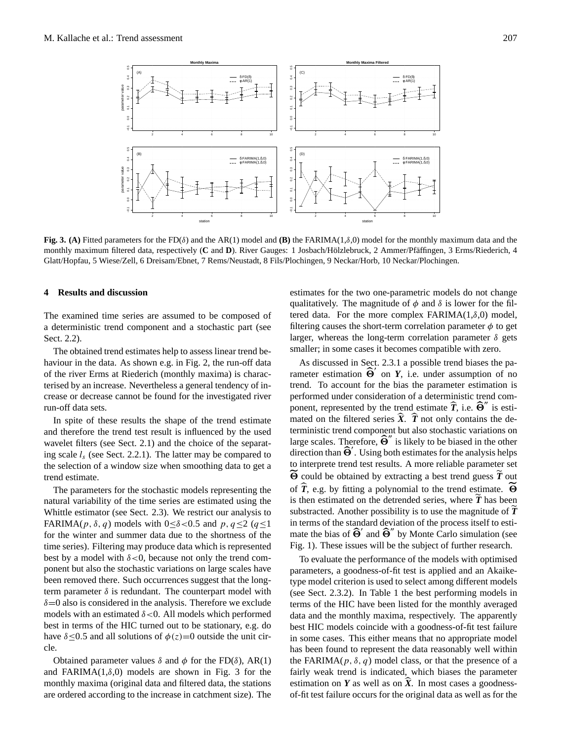

<span id="page-6-1"></span>**Fig. 3. (A)** Fitted parameters for the FD(δ) and the AR(1) model and **(B)** the FARIMA(1,δ,0) model for the monthly maximum data and the monthly maximum filtered data, respectively (C and D). River Gauges: 1 Josbach/Hölzlebruck, 2 Ammer/Pfäffingen, 3 Erms/Riederich, 4 Glatt/Hopfau, 5 Wiese/Zell, 6 Dreisam/Ebnet, 7 Rems/Neustadt, 8 Fils/Plochingen, 9 Neckar/Horb, 10 Neckar/Plochingen.

### <span id="page-6-0"></span>**4 Results and discussion**

The examined time series are assumed to be composed of a deterministic trend component and a stochastic part (see Sect. [2.2\)](#page-2-1).

The obtained trend estimates help to assess linear trend behaviour in the data. As shown e.g. in Fig. [2,](#page-5-1) the run-off data of the river Erms at Riederich (monthly maxima) is characterised by an increase. Nevertheless a general tendency of increase or decrease cannot be found for the investigated river run-off data sets.

In spite of these results the shape of the trend estimate and therefore the trend test result is influenced by the used wavelet filters (see Sect. [2.1\)](#page-1-1) and the choice of the separating scale  $l_s$  (see Sect. [2.2.1\)](#page-2-2). The latter may be compared to the selection of a window size when smoothing data to get a trend estimate.

The parameters for the stochastic models representing the natural variability of the time series are estimated using the Whittle estimator (see Sect. [2.3\)](#page-3-0). We restrict our analysis to FARIMA( $p, \delta, q$ ) models with 0 < δ < 0.5 and p,  $q \le 2$  ( $q \le 1$ ) for the winter and summer data due to the shortness of the time series). Filtering may produce data which is represented best by a model with  $\delta < 0$ , because not only the trend component but also the stochastic variations on large scales have been removed there. Such occurrences suggest that the longterm parameter  $\delta$  is redundant. The counterpart model with  $\delta$ =0 also is considered in the analysis. Therefore we exclude models with an estimated  $\delta$ <0. All models which performed best in terms of the HIC turned out to be stationary, e.g. do have  $\delta \leq 0.5$  and all solutions of  $\phi(z)=0$  outside the unit circle.

Obtained parameter values  $\delta$  and  $\phi$  for the FD( $\delta$ ), AR(1) and FARIMA $(1,\delta,0)$  models are shown in Fig. [3](#page-6-1) for the monthly maxima (original data and filtered data, the stations are ordered according to the increase in catchment size). The estimates for the two one-parametric models do not change qualitatively. The magnitude of  $\phi$  and  $\delta$  is lower for the filtered data. For the more complex FARIMA $(1,\delta,0)$  model, filtering causes the short-term correlation parameter  $\phi$  to get larger, whereas the long-term correlation parameter  $\delta$  gets smaller; in some cases it becomes compatible with zero.

As discussed in Sect. [2.3.1](#page-3-1) a possible trend biases the parameter estimation  $\widehat{\Theta}'$  on *Y*, i.e. under assumption of no trend. To account for the bias the parameter estimation is performed under consideration of a deterministic trend component, represented by the trend estimate  $\hat{T}$ , i.e.  $\hat{\Theta}^{\prime\prime}$  is estimated on the filtered series  $\widehat{\mathbf{X}}$ .  $\widehat{\mathbf{I}}$  not only contains the deterministic trend component but also stochastic variations on large scales. Therefore,  $\widehat{\Theta}^{\prime\prime}$  is likely to be biased in the other direction than  $\widehat{\Theta}'$ . Using both estimates for the analysis helps to interprete trend test results. A more reliable parameter set  $\widetilde{\Theta}$  could be obtained by extracting a best trend guess  $\widetilde{T}$  out of  $\widehat{T}$ , e.g. by fitting a polynomial to the trend estimate.  $\widetilde{\Theta}$ is then estimated on the detrended series, where  $\tilde{T}$  has been substracted. Another possibility is to use the magnitude of  $T$ in terms of the standard deviation of the process itself to estimate the bias of  $\widehat{\Theta}'$  and  $\widehat{\Theta}''$  by Monte Carlo simulation (see Fig. [1\)](#page-4-0). These issues will be the subject of further research.

To evaluate the performance of the models with optimised parameters, a goodness-of-fit test is applied and an Akaiketype model criterion is used to select among different models (see Sect. [2.3.2\)](#page-3-2). In Table [1](#page-7-1) the best performing models in terms of the HIC have been listed for the monthly averaged data and the monthly maxima, respectively. The apparently best HIC models coincide with a goodness-of-fit test failure in some cases. This either means that no appropriate model has been found to represent the data reasonably well within the FARIMA( $p$ ,  $\delta$ ,  $q$ ) model class, or that the presence of a fairly weak trend is indicated, which biases the parameter estimation on  $Y$  as well as on  $\overline{X}$ . In most cases a goodnessof-fit test failure occurs for the original data as well as for the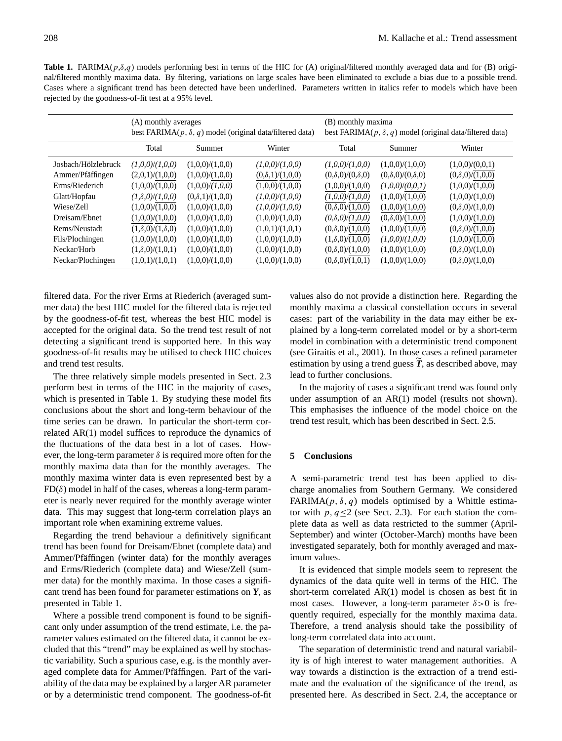<span id="page-7-1"></span>**Table 1.** FARIMA( $p, \delta, q$ ) models performing best in terms of the HIC for (A) original/filtered monthly averaged data and for (B) original/filtered monthly maxima data. By filtering, variations on large scales have been eliminated to exclude a bias due to a possible trend. Cases where a significant trend has been detected have been underlined. Parameters written in italics refer to models which have been rejected by the goodness-of-fit test at a 95% level.

|                     | (A) monthly averages<br>best FARIMA $(p, \delta, q)$ model (original data/filtered data) |                        |                        | (B) monthly maxima<br>best FARIMA( $p$ , $\delta$ , $q$ ) model (original data/filtered data) |                             |                        |
|---------------------|------------------------------------------------------------------------------------------|------------------------|------------------------|-----------------------------------------------------------------------------------------------|-----------------------------|------------------------|
|                     | Total                                                                                    | Summer                 | Winter                 | Total                                                                                         | Summer                      | Winter                 |
| Joshach/Hölzlebruck | (1,0,0)/(1,0,0)                                                                          | (1,0,0)/(1,0,0)        | (1,0,0)/(1,0,0)        | (1,0,0)/(1,0,0)                                                                               | (1,0,0)/(1,0,0)             | (1,0,0)/(0,0,1)        |
| Ammer/Pfäffingen    | (2,0,1)/(1,0,0)                                                                          | (1,0,0)/(1,0,0)        | $(0,\delta,1)/(1,0,0)$ | $(0,\delta,0)/(0,\delta,0)$                                                                   | $(0,\delta,0)/(0,\delta,0)$ | $(0,\delta,0)/(1,0,0)$ |
| Erms/Riederich      | (1,0,0)/(1,0,0)                                                                          | (1,0,0)/(1,0,0)        | (1,0,0)/(1,0,0)        | (1,0,0)/(1,0,0)                                                                               | (1,0,0)/(0,0,1)             | (1,0,0)/(1,0,0)        |
| Glatt/Hopfau        | $(1, \delta, 0)/(1, 0, 0)$                                                               | $(0,\delta,1)/(1,0,0)$ | (1,0,0)/(1,0,0)        | (1,0,0)/(1,0,0)                                                                               | (1,0,0)/(1,0,0)             | (1,0,0)/(1,0,0)        |
| Wiese/Zell          | (1,0,0)/(1,0,0)                                                                          | (1,0,0)/(1,0,0)        | (1,0,0)/(1,0,0)        | $(0,\delta,0)/(1,0,0)$                                                                        | (1,0,0)/(1,0,0)             | $(0,\delta,0)/(1,0,0)$ |
| Dreisam/Ebnet       | (1,0,0)/(1,0,0)                                                                          | (1,0,0)/(1,0,0)        | (1,0,0)/(1,0,0)        | $(0,\delta,0)/(1,0,0)$                                                                        | $(0,\delta,0)/(1,0,0)$      | (1,0,0)/(1,0,0)        |
| Rems/Neustadt       | $(1,\delta,0)/(1,\delta,0)$                                                              | (1,0,0)/(1,0,0)        | (1,0,1)/(1,0,1)        | $(0,\delta,0)/(1,0,0)$                                                                        | (1,0,0)/(1,0,0)             | $(0,\delta,0)/(1,0,0)$ |
| Fils/Plochingen     | (1,0,0)/(1,0,0)                                                                          | (1,0,0)/(1,0,0)        | (1,0,0)/(1,0,0)        | $(1, \delta, 0) / (1, 0, 0)$                                                                  | (1,0,0)/(1,0,0)             | (1,0,0)/(1,0,0)        |
| Neckar/Horb         | $(1, \delta, 0) / (1, 0, 1)$                                                             | (1,0,0)/(1,0,0)        | (1,0,0)/(1,0,0)        | $(0,\delta,0)/(1,0,0)$                                                                        | (1,0,0)/(1,0,0)             | $(0,\delta,0)/(1,0,0)$ |
| Neckar/Plochingen   | (1,0,1)/(1,0,1)                                                                          | (1,0,0)/(1,0,0)        | (1,0,0)/(1,0,0)        | $(0,\delta,0)/(1,0,1)$                                                                        | (1,0,0)/(1,0,0)             | $(0,\delta,0)/(1,0,0)$ |

filtered data. For the river Erms at Riederich (averaged summer data) the best HIC model for the filtered data is rejected by the goodness-of-fit test, whereas the best HIC model is accepted for the original data. So the trend test result of not detecting a significant trend is supported here. In this way goodness-of-fit results may be utilised to check HIC choices and trend test results.

The three relatively simple models presented in Sect. [2.3](#page-3-0) perform best in terms of the HIC in the majority of cases, which is presented in Table [1.](#page-7-1) By studying these model fits conclusions about the short and long-term behaviour of the time series can be drawn. In particular the short-term correlated AR(1) model suffices to reproduce the dynamics of the fluctuations of the data best in a lot of cases. However, the long-term parameter  $\delta$  is required more often for the monthly maxima data than for the monthly averages. The monthly maxima winter data is even represented best by a  $FD(\delta)$  model in half of the cases, whereas a long-term parameter is nearly never required for the monthly average winter data. This may suggest that long-term correlation plays an important role when examining extreme values.

Regarding the trend behaviour a definitively significant trend has been found for Dreisam/Ebnet (complete data) and Ammer/Pfäffingen (winter data) for the monthly averages and Erms/Riederich (complete data) and Wiese/Zell (summer data) for the monthly maxima. In those cases a significant trend has been found for parameter estimations on *Y*, as presented in Table [1.](#page-7-1)

Where a possible trend component is found to be significant only under assumption of the trend estimate, i.e. the parameter values estimated on the filtered data, it cannot be excluded that this "trend" may be explained as well by stochastic variability. Such a spurious case, e.g. is the monthly averaged complete data for Ammer/Pfäffingen. Part of the variability of the data may be explained by a larger AR parameter or by a deterministic trend component. The goodness-of-fit

values also do not provide a distinction here. Regarding the monthly maxima a classical constellation occurs in several cases: part of the variability in the data may either be explained by a long-term correlated model or by a short-term model in combination with a deterministic trend component (see [Giraitis et al.,](#page-9-25) [2001\)](#page-9-25). In those cases a refined parameter estimation by using a trend guess  $\widetilde{T}$ , as described above, may lead to further conclusions.

In the majority of cases a significant trend was found only under assumption of an AR(1) model (results not shown). This emphasises the influence of the model choice on the trend test result, which has been described in Sect. [2.5.](#page-5-2)

## <span id="page-7-0"></span>**5 Conclusions**

A semi-parametric trend test has been applied to discharge anomalies from Southern Germany. We considered FARIMA( $p$ ,  $\delta$ ,  $q$ ) models optimised by a Whittle estimator with  $p, q \le 2$  (see Sect. [2.3\)](#page-3-0). For each station the complete data as well as data restricted to the summer (April-September) and winter (October-March) months have been investigated separately, both for monthly averaged and maximum values.

It is evidenced that simple models seem to represent the dynamics of the data quite well in terms of the HIC. The short-term correlated AR(1) model is chosen as best fit in most cases. However, a long-term parameter  $\delta > 0$  is frequently required, especially for the monthly maxima data. Therefore, a trend analysis should take the possibility of long-term correlated data into account.

The separation of deterministic trend and natural variability is of high interest to water management authorities. A way towards a distinction is the extraction of a trend estimate and the evaluation of the significance of the trend, as presented here. As described in Sect. [2.4,](#page-4-2) the acceptance or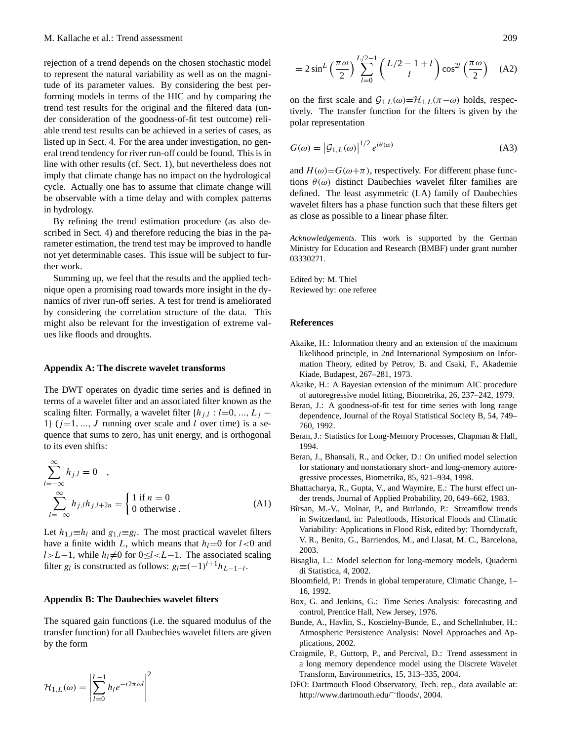rejection of a trend depends on the chosen stochastic model to represent the natural variability as well as on the magnitude of its parameter values. By considering the best performing models in terms of the HIC and by comparing the trend test results for the original and the filtered data (under consideration of the goodness-of-fit test outcome) reliable trend test results can be achieved in a series of cases, as listed up in Sect. [4.](#page-6-0) For the area under investigation, no general trend tendency for river run-off could be found. This is in line with other results (cf. Sect. [1\)](#page-0-1), but nevertheless does not imply that climate change has no impact on the hydrological cycle. Actually one has to assume that climate change will be observable with a time delay and with complex patterns in hydrology.

By refining the trend estimation procedure (as also described in Sect. [4\)](#page-6-0) and therefore reducing the bias in the parameter estimation, the trend test may be improved to handle not yet determinable cases. This issue will be subject to further work.

Summing up, we feel that the results and the applied technique open a promising road towards more insight in the dynamics of river run-off series. A test for trend is ameliorated by considering the correlation structure of the data. This might also be relevant for the investigation of extreme values like floods and droughts.

#### **Appendix A: The discrete wavelet transforms**

The DWT operates on dyadic time series and is defined in terms of a wavelet filter and an associated filter known as the scaling filter. Formally, a wavelet filter  $\{h_{j,l} : l=0, ..., L_j - \}$ 1}  $(j=1, ..., J$  running over scale and l over time) is a sequence that sums to zero, has unit energy, and is orthogonal to its even shifts:

$$
\sum_{l=-\infty}^{\infty} h_{j,l} = 0 ,
$$
  

$$
\sum_{l=-\infty}^{\infty} h_{j,l} h_{j,l+2n} = \begin{cases} 1 \text{ if } n = 0 \\ 0 \text{ otherwise.} \end{cases}
$$
 (A1)

Let  $h_{1,l} \equiv h_l$  and  $g_{1,l} \equiv g_l$ . The most practical wavelet filters have a finite width L, which means that  $h_l=0$  for  $l<0$  and  $l>L-1$ , while  $h_l \neq 0$  for  $0 \leq l < L-1$ . The associated scaling filter  $g_l$  is constructed as follows:  $g_l \equiv (-1)^{l+1} h_{L-1-l}$ .

#### **Appendix B: The Daubechies wavelet filters**

The squared gain functions (i.e. the squared modulus of the transfer function) for all Daubechies wavelet filters are given by the form

$$
\mathcal{H}_{1,L}(\omega) = \left| \sum_{l=0}^{L-1} h_l e^{-i2\pi \omega l} \right|^2
$$

$$
=2\sin^L\left(\frac{\pi\omega}{2}\right)\sum_{l=0}^{L/2-1}\left(\frac{L/2-1+l}{l}\right)\cos^{2l}\left(\frac{\pi\omega}{2}\right)
$$
 (A2)

on the first scale and  $G_{1,L}(\omega) = H_{1,L}(\pi - \omega)$  holds, respectively. The transfer function for the filters is given by the polar representation

$$
G(\omega) = |\mathcal{G}_{1,L}(\omega)|^{1/2} e^{i\theta(\omega)}
$$
 (A3)

and  $H(\omega) = G(\omega + \pi)$ , respectively. For different phase functions  $\theta(\omega)$  distinct Daubechies wavelet filter families are defined. The least asymmetric (LA) family of Daubechies wavelet filters has a phase function such that these filters get as close as possible to a linear phase filter.

*Acknowledgements.* This work is supported by the German Ministry for Education and Research (BMBF) under grant number 03330271.

Edited by: M. Thiel Reviewed by: one referee

#### **References**

- <span id="page-8-9"></span>Akaike, H.: Information theory and an extension of the maximum likelihood principle, in 2nd International Symposium on Information Theory, edited by Petrov, B. and Csaki, F., Akademie Kiade, Budapest, 267–281, 1973.
- <span id="page-8-10"></span>Akaike, H.: A Bayesian extension of the minimum AIC procedure of autoregressive model fitting, Biometrika, 26, 237–242, 1979.
- <span id="page-8-8"></span>Beran, J.: A goodness-of-fit test for time series with long range dependence, Journal of the Royal Statistical Society B, 54, 749– 760, 1992.
- <span id="page-8-2"></span>Beran, J.: Statistics for Long-Memory Processes, Chapman & Hall, 1994.
- <span id="page-8-11"></span>Beran, J., Bhansali, R., and Ocker, D.: On unified model selection for stationary and nonstationary short- and long-memory autoregressive processes, Biometrika, 85, 921–934, 1998.
- <span id="page-8-4"></span>Bhattacharya, R., Gupta, V., and Waymire, E.: The hurst effect under trends, Journal of Applied Probability, 20, 649–662, 1983.
- <span id="page-8-1"></span>Bîrsan, M.-V., Molnar, P., and Burlando, P.: Streamflow trends in Switzerland, in: Paleofloods, Historical Floods and Climatic Variability: Applications in Flood Risk, edited by: Thorndycraft, V. R., Benito, G., Barriendos, M., and Llasat, M. C., Barcelona, 2003.
- <span id="page-8-12"></span>Bisaglia, L.: Model selection for long-memory models, Quaderni di Statistica, 4, 2002.
- <span id="page-8-3"></span>Bloomfield, P.: Trends in global temperature, Climatic Change, 1– 16, 1992.
- <span id="page-8-7"></span>Box, G. and Jenkins, G.: Time Series Analysis: forecasting and control, Prentice Hall, New Jersey, 1976.
- <span id="page-8-5"></span>Bunde, A., Havlin, S., Koscielny-Bunde, E., and Schellnhuber, H.: Atmospheric Persistence Analysis: Novel Approaches and Applications, 2002.
- <span id="page-8-6"></span>Craigmile, P., Guttorp, P., and Percival, D.: Trend assessment in a long memory dependence model using the Discrete Wavelet Transform, Environmetrics, 15, 313–335, 2004.
- <span id="page-8-0"></span>DFO: Dartmouth Flood Observatory, Tech. rep., data available at: [http://www.dartmouth.edu/](http://www.dartmouth.edu/~floods/)∼floods/, 2004.